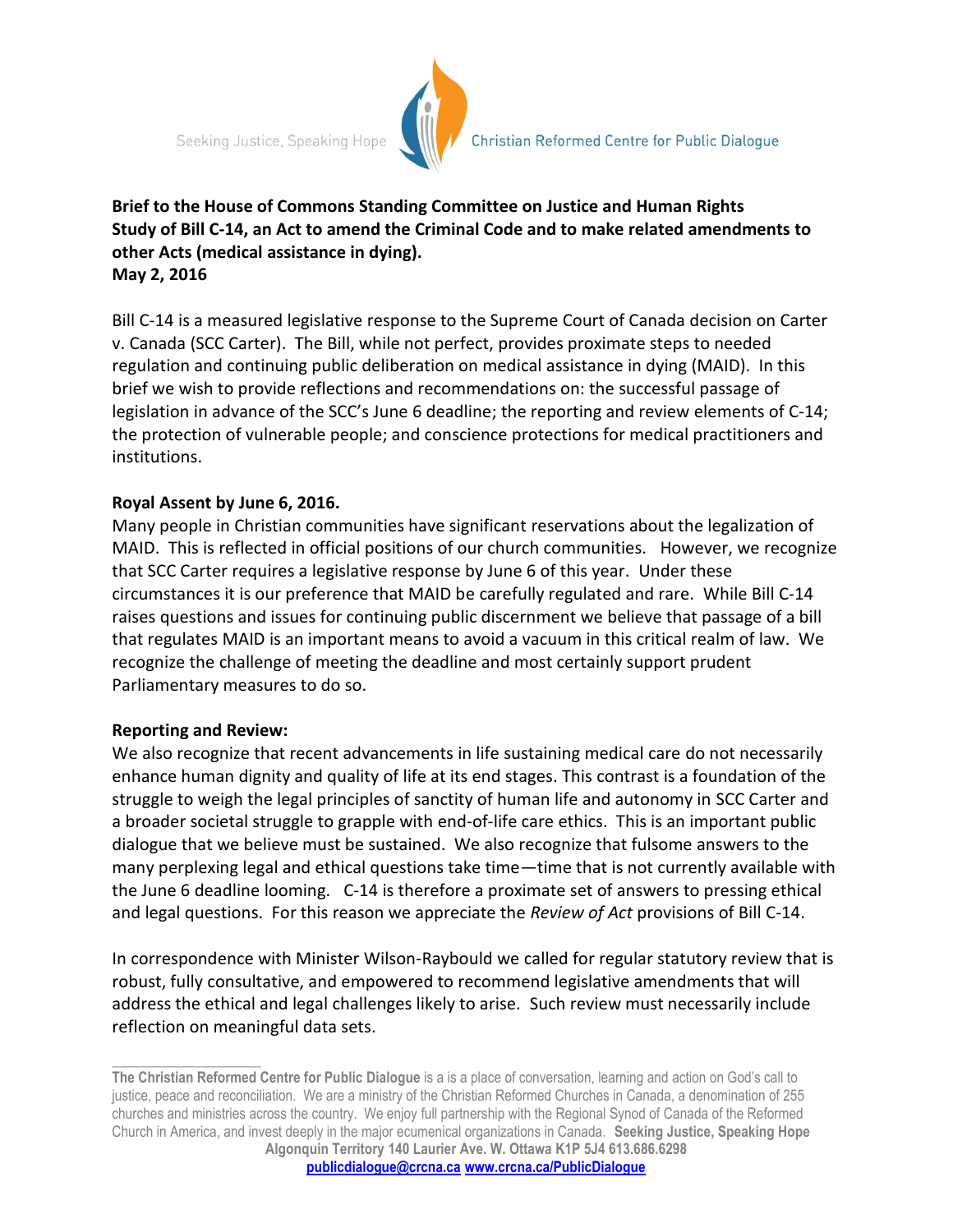Seeking Justice, Speaking Hope



# **Brief to the House of Commons Standing Committee on Justice and Human Rights Study of Bill C-14, an Act to amend the Criminal Code and to make related amendments to other Acts (medical assistance in dying). May 2, 2016**

Bill C-14 is a measured legislative response to the Supreme Court of Canada decision on Carter v. Canada (SCC Carter). The Bill, while not perfect, provides proximate steps to needed regulation and continuing public deliberation on medical assistance in dying (MAID). In this brief we wish to provide reflections and recommendations on: the successful passage of legislation in advance of the SCC's June 6 deadline; the reporting and review elements of C-14; the protection of vulnerable people; and conscience protections for medical practitioners and institutions.

## **Royal Assent by June 6, 2016.**

Many people in Christian communities have significant reservations about the legalization of MAID. This is reflected in official positions of our church communities. However, we recognize that SCC Carter requires a legislative response by June 6 of this year. Under these circumstances it is our preference that MAID be carefully regulated and rare. While Bill C-14 raises questions and issues for continuing public discernment we believe that passage of a bill that regulates MAID is an important means to avoid a vacuum in this critical realm of law. We recognize the challenge of meeting the deadline and most certainly support prudent Parliamentary measures to do so.

## **Reporting and Review:**

**\_\_\_\_\_\_\_\_\_\_\_\_\_\_\_\_\_\_\_\_\_**

We also recognize that recent advancements in life sustaining medical care do not necessarily enhance human dignity and quality of life at its end stages. This contrast is a foundation of the struggle to weigh the legal principles of sanctity of human life and autonomy in SCC Carter and a broader societal struggle to grapple with end-of-life care ethics. This is an important public dialogue that we believe must be sustained. We also recognize that fulsome answers to the many perplexing legal and ethical questions take time—time that is not currently available with the June 6 deadline looming. C-14 is therefore a proximate set of answers to pressing ethical and legal questions. For this reason we appreciate the *Review of Act* provisions of Bill C-14.

In correspondence with Minister Wilson-Raybould we called for regular statutory review that is robust, fully consultative, and empowered to recommend legislative amendments that will address the ethical and legal challenges likely to arise. Such review must necessarily include reflection on meaningful data sets.

**The Christian Reformed Centre for Public Dialogue** is a is a place of conversation, learning and action on God's call to justice, peace and reconciliation. We are a ministry of the Christian Reformed Churches in Canada, a denomination of 255 churches and ministries across the country. We enjoy full partnership with the Regional Synod of Canada of the Reformed Church in America, and invest deeply in the major ecumenical organizations in Canada. **Seeking Justice, Speaking Hope Algonquin Territory 140 Laurier Ave. W. Ottawa K1P 5J4 613.686.6298**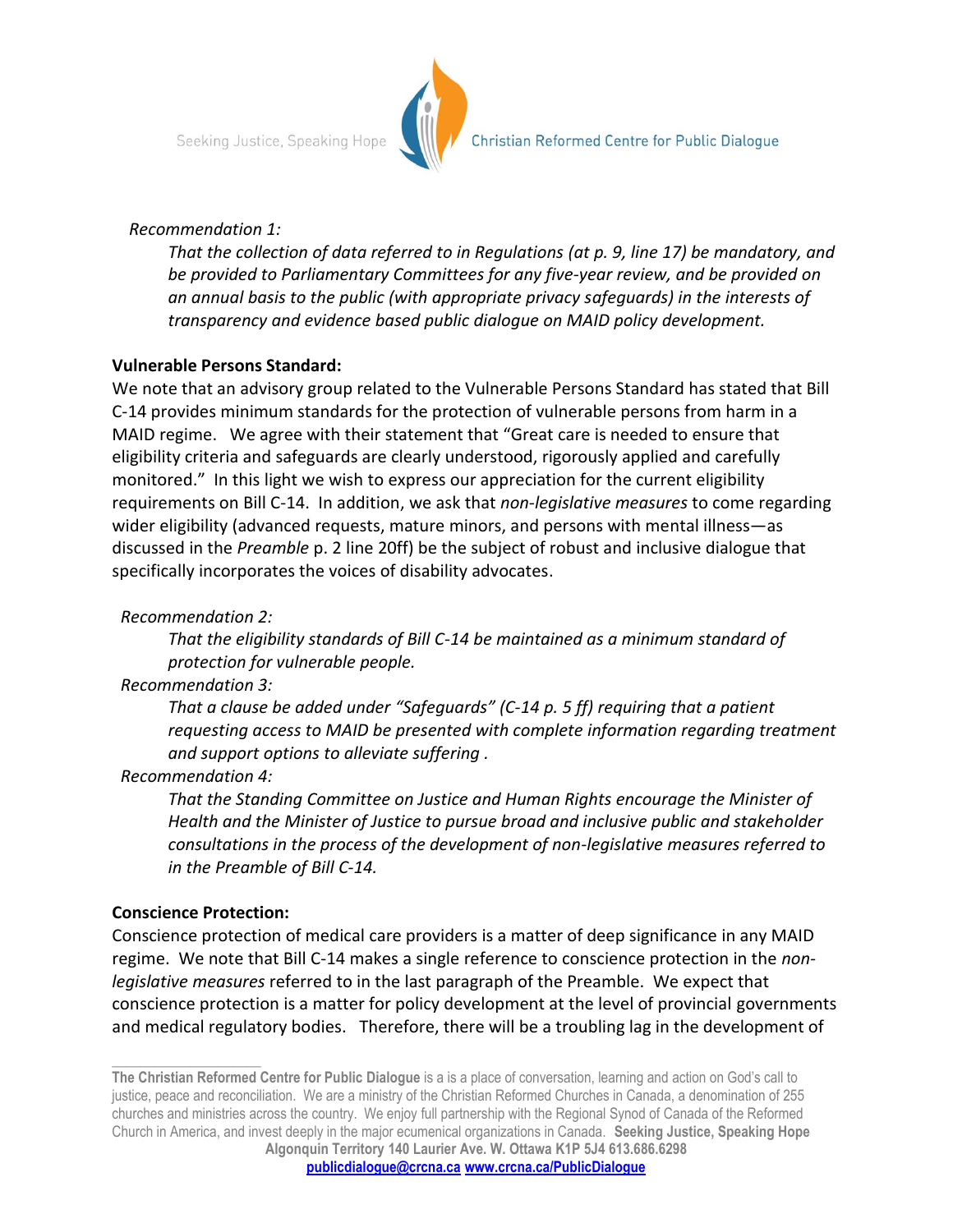

#### *Recommendation 1:*

*That the collection of data referred to in Regulations (at p. 9, line 17) be mandatory, and be provided to Parliamentary Committees for any five-year review, and be provided on an annual basis to the public (with appropriate privacy safeguards) in the interests of transparency and evidence based public dialogue on MAID policy development.* 

## **Vulnerable Persons Standard:**

We note that an advisory group related to the Vulnerable Persons Standard has stated that Bill C-14 provides minimum standards for the protection of vulnerable persons from harm in a MAID regime. We agree with their statement that "Great care is needed to ensure that eligibility criteria and safeguards are clearly understood, rigorously applied and carefully monitored." In this light we wish to express our appreciation for the current eligibility requirements on Bill C-14. In addition, we ask that *non-legislative measures* to come regarding wider eligibility (advanced requests, mature minors, and persons with mental illness—as discussed in the *Preamble* p. 2 line 20ff) be the subject of robust and inclusive dialogue that specifically incorporates the voices of disability advocates.

## *Recommendation 2:*

*That the eligibility standards of Bill C-14 be maintained as a minimum standard of protection for vulnerable people.*

# *Recommendation 3:*

*That a clause be added under "Safeguards" (C-14 p. 5 ff) requiring that a patient requesting access to MAID be presented with complete information regarding treatment and support options to alleviate suffering .*

## *Recommendation 4:*

*That the Standing Committee on Justice and Human Rights encourage the Minister of Health and the Minister of Justice to pursue broad and inclusive public and stakeholder consultations in the process of the development of non-legislative measures referred to in the Preamble of Bill C-14.* 

## **Conscience Protection:**

**\_\_\_\_\_\_\_\_\_\_\_\_\_\_\_\_\_\_\_\_\_**

Conscience protection of medical care providers is a matter of deep significance in any MAID regime. We note that Bill C-14 makes a single reference to conscience protection in the *nonlegislative measures* referred to in the last paragraph of the Preamble. We expect that conscience protection is a matter for policy development at the level of provincial governments and medical regulatory bodies. Therefore, there will be a troubling lag in the development of

**The Christian Reformed Centre for Public Dialogue** is a is a place of conversation, learning and action on God's call to justice, peace and reconciliation. We are a ministry of the Christian Reformed Churches in Canada, a denomination of 255 churches and ministries across the country. We enjoy full partnership with the Regional Synod of Canada of the Reformed Church in America, and invest deeply in the major ecumenical organizations in Canada. **Seeking Justice, Speaking Hope Algonquin Territory 140 Laurier Ave. W. Ottawa K1P 5J4 613.686.6298**